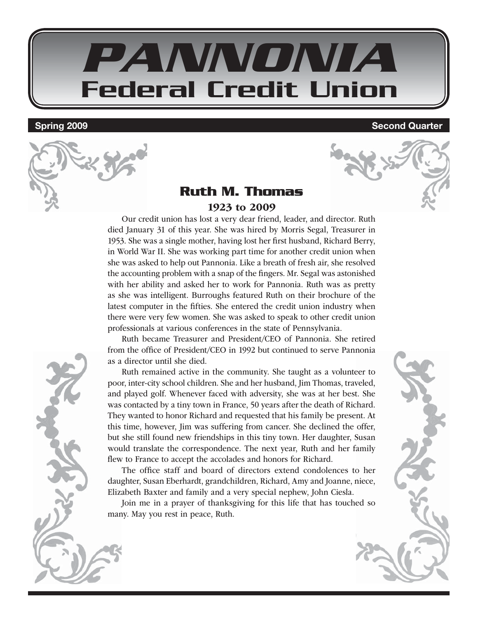

**Spring 2009 Second Quarter** 

#### **Ruth M. Thomas** 1923 to 2009

Our credit union has lost a very dear friend, leader, and director. Ruth died January 31 of this year. She was hired by Morris Segal, Treasurer in 1953. She was a single mother, having lost her first husband, Richard Berry, in World War II. She was working part time for another credit union when she was asked to help out Pannonia. Like a breath of fresh air, she resolved the accounting problem with a snap of the fingers. Mr. Segal was astonished with her ability and asked her to work for Pannonia. Ruth was as pretty as she was intelligent. Burroughs featured Ruth on their brochure of the latest computer in the fifties. She entered the credit union industry when there were very few women. She was asked to speak to other credit union professionals at various conferences in the state of Pennsylvania.

Ruth became Treasurer and President/CEO of Pannonia. She retired from the office of President/CEO in 1992 but continued to serve Pannonia as a director until she died.

Ruth remained active in the community. She taught as a volunteer to poor, inter-city school children. She and her husband, Jim Thomas, traveled, and played golf. Whenever faced with adversity, she was at her best. She was contacted by a tiny town in France, 50 years after the death of Richard. They wanted to honor Richard and requested that his family be present. At this time, however, Jim was suffering from cancer. She declined the offer, but she still found new friendships in this tiny town. Her daughter, Susan would translate the correspondence. The next year, Ruth and her family flew to France to accept the accolades and honors for Richard.

The office staff and board of directors extend condolences to her daughter, Susan Eberhardt, grandchildren, Richard, Amy and Joanne, niece, Elizabeth Baxter and family and a very special nephew, John Ciesla.

Join me in a prayer of thanksgiving for this life that has touched so many. May you rest in peace, Ruth.

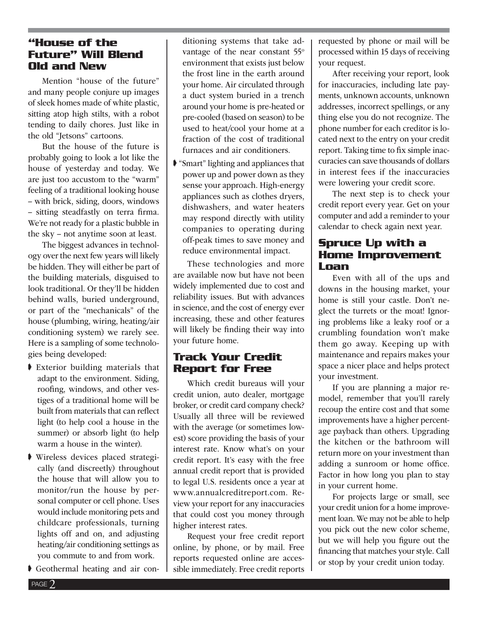#### **"House of the Future" Will Blend Old and New**

Mention "house of the future" and many people conjure up images of sleek homes made of white plastic, sitting atop high stilts, with a robot tending to daily chores. Just like in the old "Jetsons" cartoons.

But the house of the future is probably going to look a lot like the house of yesterday and today. We are just too accustom to the "warm" feeling of a traditional looking house – with brick, siding, doors, windows – sitting steadfastly on terra firma. We're not ready for a plastic bubble in the sky – not anytime soon at least.

The biggest advances in technology over the next few years will likely be hidden. They will either be part of the building materials, disguised to look traditional. Or they'll be hidden behind walls, buried underground, or part of the "mechanicals" of the house (plumbing, wiring, heating/air conditioning system) we rarely see. Here is a sampling of some technologies being developed:

- ♦ Exterior building materials that adapt to the environment. Siding, roofing, windows, and other vestiges of a traditional home will be built from materials that can reflect light (to help cool a house in the summer) or absorb light (to help warm a house in the winter).
- ➧ Wireless devices placed strategically (and discreetly) throughout the house that will allow you to monitor/run the house by personal computer or cell phone. Uses would include monitoring pets and childcare professionals, turning lights off and on, and adjusting heating/air conditioning settings as you commute to and from work.
- ➧ Geothermal heating and air con-

ditioning systems that take advantage of the near constant 55° environment that exists just below the frost line in the earth around your home. Air circulated through a duct system buried in a trench around your home is pre-heated or pre-cooled (based on season) to be used to heat/cool your home at a fraction of the cost of traditional furnaces and air conditioners.

➧ "Smart" lighting and appliances that power up and power down as they sense your approach. High-energy appliances such as clothes dryers, dishwashers, and water heaters may respond directly with utility companies to operating during off-peak times to save money and reduce environmental impact.

These technologies and more are available now but have not been widely implemented due to cost and reliability issues. But with advances in science, and the cost of energy ever increasing, these and other features will likely be finding their way into your future home.

#### **Track Your Credit Report for Free**

Which credit bureaus will your credit union, auto dealer, mortgage broker, or credit card company check? Usually all three will be reviewed with the average (or sometimes lowest) score providing the basis of your interest rate. Know what's on your credit report. It's easy with the free annual credit report that is provided to legal U.S. residents once a year at www.annualcreditreport.com. Review your report for any inaccuracies that could cost you money through higher interest rates.

Request your free credit report online, by phone, or by mail. Free reports requested online are accessible immediately. Free credit reports requested by phone or mail will be processed within 15 days of receiving your request.

After receiving your report, look for inaccuracies, including late payments, unknown accounts, unknown addresses, incorrect spellings, or any thing else you do not recognize. The phone number for each creditor is located next to the entry on your credit report. Taking time to fix simple inaccuracies can save thousands of dollars in interest fees if the inaccuracies were lowering your credit score.

The next step is to check your credit report every year. Get on your computer and add a reminder to your calendar to check again next year.

#### **Spruce Up with a Home Improvement Loan**

Even with all of the ups and downs in the housing market, your home is still your castle. Don't neglect the turrets or the moat! Ignoring problems like a leaky roof or a crumbling foundation won't make them go away. Keeping up with maintenance and repairs makes your space a nicer place and helps protect your investment.

If you are planning a major remodel, remember that you'll rarely recoup the entire cost and that some improvements have a higher percentage payback than others. Upgrading the kitchen or the bathroom will return more on your investment than adding a sunroom or home office. Factor in how long you plan to stay in your current home.

For projects large or small, see your credit union for a home improvement loan. We may not be able to help you pick out the new color scheme, but we will help you figure out the financing that matches your style. Call or stop by your credit union today.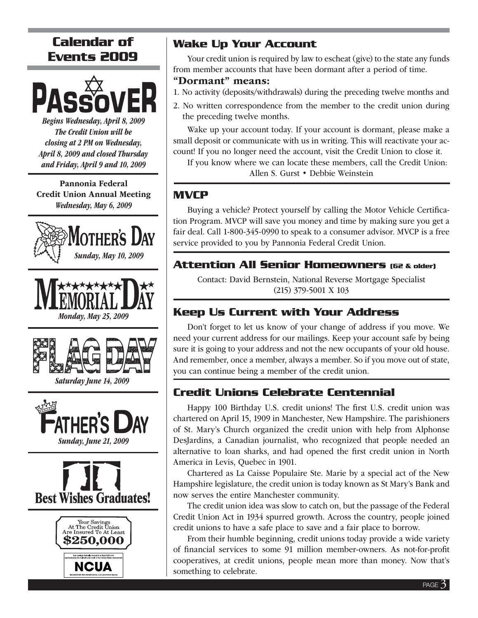## **Calendar of Events 2009**



Begins Wednesday, April 8, 2009 The Credit Union will be closing at 2 PM on Wednesday, April 8, 2009 and closed Thursday and Friday, April 9 and 10, 2009

Pannonia Federal Credit Union Annual Meeting Wednesday, May 6, 2009







Saturday June 14, 2009







#### **Wake Up Your Account**

Your credit union is required by law to escheat (give) to the state any funds from member accounts that have been dormant after a period of time.

#### "Dormant" means:

- 1. No activity (deposits/withdrawals) during the preceding twelve months and
- 2. No written correspondence from the member to the credit union during the preceding twelve months.

Wake up your account today. If your account is dormant, please make a small deposit or communicate with us in writing. This will reactivate your account! If you no longer need the account, visit the Credit Union to close it.

If you know where we can locate these members, call the Credit Union: Allen S. Gurst • Debbie Weinstein

#### **MVCP**

Buying a vehicle? Protect yourself by calling the Motor Vehicle Certification Program. MVCP will save you money and time by making sure you get a fair deal. Call 1-800-345-0990 to speak to a consumer advisor. MVCP is a free service provided to you by Pannonia Federal Credit Union.

#### **Attention All Senior Homeowners (62 & older)**

Contact: David Bernstein, National Reverse Mortgage Specialist (215) 379-5001 X 103

### **Keep Us Current with Your Address**

Don't forget to let us know of your change of address if you move. We need your current address for our mailings. Keep your account safe by being sure it is going to your address and not the new occupants of your old house. And remember, once a member, always a member. So if you move out of state, you can continue being a member of the credit union.

#### **Credit Unions Celebrate Centennial**

Happy 100 Birthday U.S. credit unions! The first U.S. credit union was chartered on April 15, 1909 in Manchester, New Hampshire. The parishioners of St. Mary's Church organized the credit union with help from Alphonse DesJardins, a Canadian journalist, who recognized that people needed an alternative to loan sharks, and had opened the first credit union in North America in Levis, Quebec in 1901.

Chartered as La Caisse Populaire Ste. Marie by a special act of the New Hampshire legislature, the credit union is today known as St Mary's Bank and now serves the entire Manchester community.

The credit union idea was slow to catch on, but the passage of the Federal Credit Union Act in 1934 spurred growth. Across the country, people joined credit unions to have a safe place to save and a fair place to borrow.

From their humble beginning, credit unions today provide a wide variety of financial services to some 91 million member-owners. As not-for-profit cooperatives, at credit unions, people mean more than money. Now that's something to celebrate.